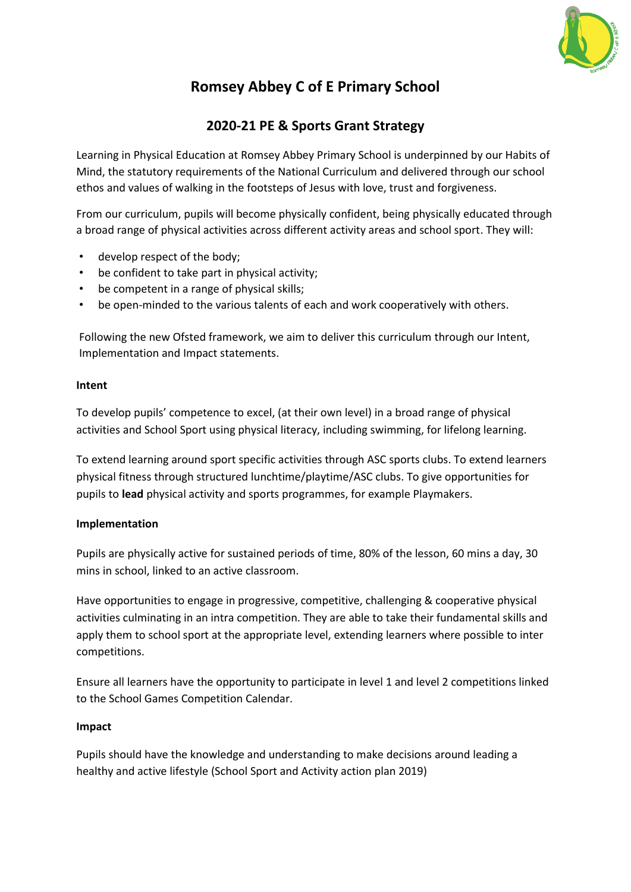

## **Romsey Abbey C of E Primary School**

### **2020-21 PE & Sports Grant Strategy**

Learning in Physical Education at Romsey Abbey Primary School is underpinned by our Habits of Mind, the statutory requirements of the National Curriculum and delivered through our school ethos and values of walking in the footsteps of Jesus with love, trust and forgiveness.

From our curriculum, pupils will become physically confident, being physically educated through a broad range of physical activities across different activity areas and school sport. They will:

- develop respect of the body;
- be confident to take part in physical activity;
- be competent in a range of physical skills;
- be open-minded to the various talents of each and work cooperatively with others.

Following the new Ofsted framework, we aim to deliver this curriculum through our Intent, Implementation and Impact statements.

#### **Intent**

To develop pupils' competence to excel, (at their own level) in a broad range of physical activities and School Sport using physical literacy, including swimming, for lifelong learning.

To extend learning around sport specific activities through ASC sports clubs. To extend learners physical fitness through structured lunchtime/playtime/ASC clubs. To give opportunities for pupils to **lead** physical activity and sports programmes, for example Playmakers.

#### **Implementation**

Pupils are physically active for sustained periods of time, 80% of the lesson, 60 mins a day, 30 mins in school, linked to an active classroom.

Have opportunities to engage in progressive, competitive, challenging & cooperative physical activities culminating in an intra competition. They are able to take their fundamental skills and apply them to school sport at the appropriate level, extending learners where possible to inter competitions.

Ensure all learners have the opportunity to participate in level 1 and level 2 competitions linked to the School Games Competition Calendar.

#### **Impact**

Pupils should have the knowledge and understanding to make decisions around leading a healthy and active lifestyle (School Sport and Activity action plan 2019)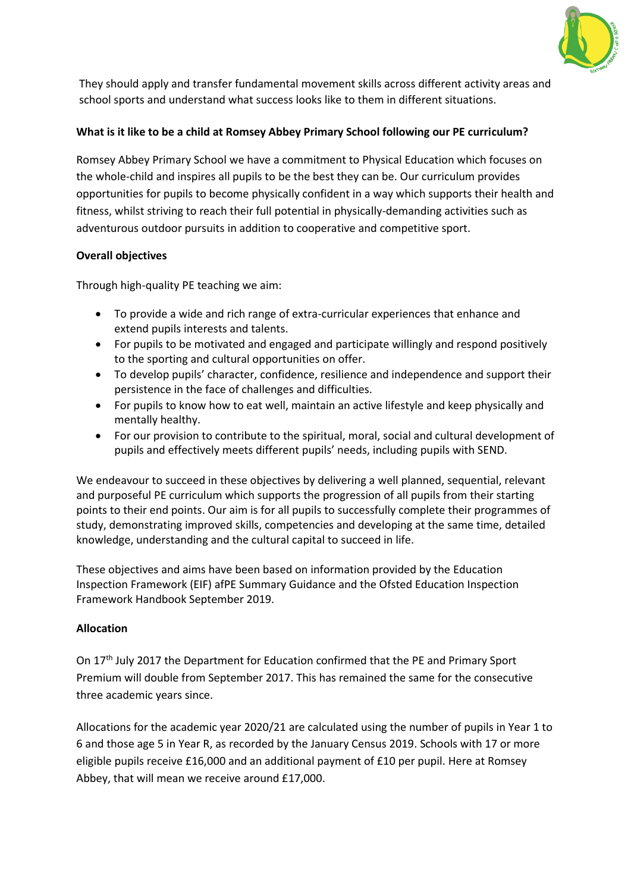

They should apply and transfer fundamental movement skills across different activity areas and school sports and understand what success looks like to them in different situations.

#### **What is it like to be a child at Romsey Abbey Primary School following our PE curriculum?**

Romsey Abbey Primary School we have a commitment to Physical Education which focuses on the whole-child and inspires all pupils to be the best they can be. Our curriculum provides opportunities for pupils to become physically confident in a way which supports their health and fitness, whilst striving to reach their full potential in physically-demanding activities such as adventurous outdoor pursuits in addition to cooperative and competitive sport.

#### **Overall objectives**

Through high-quality PE teaching we aim:

- To provide a wide and rich range of extra-curricular experiences that enhance and extend pupils interests and talents.
- For pupils to be motivated and engaged and participate willingly and respond positively to the sporting and cultural opportunities on offer.
- To develop pupils' character, confidence, resilience and independence and support their persistence in the face of challenges and difficulties.
- For pupils to know how to eat well, maintain an active lifestyle and keep physically and mentally healthy.
- For our provision to contribute to the spiritual, moral, social and cultural development of pupils and effectively meets different pupils' needs, including pupils with SEND.

We endeavour to succeed in these objectives by delivering a well planned, sequential, relevant and purposeful PE curriculum which supports the progression of all pupils from their starting points to their end points. Our aim is for all pupils to successfully complete their programmes of study, demonstrating improved skills, competencies and developing at the same time, detailed knowledge, understanding and the cultural capital to succeed in life.

These objectives and aims have been based on information provided by the Education Inspection Framework (EIF) afPE Summary Guidance and the Ofsted Education Inspection Framework Handbook September 2019.

#### **Allocation**

On 17<sup>th</sup> July 2017 the Department for Education confirmed that the PE and Primary Sport Premium will double from September 2017. This has remained the same for the consecutive three academic years since.

Allocations for the academic year 2020/21 are calculated using the number of pupils in Year 1 to 6 and those age 5 in Year R, as recorded by the January Census 2019. Schools with 17 or more eligible pupils receive £16,000 and an additional payment of £10 per pupil. Here at Romsey Abbey, that will mean we receive around £17,000.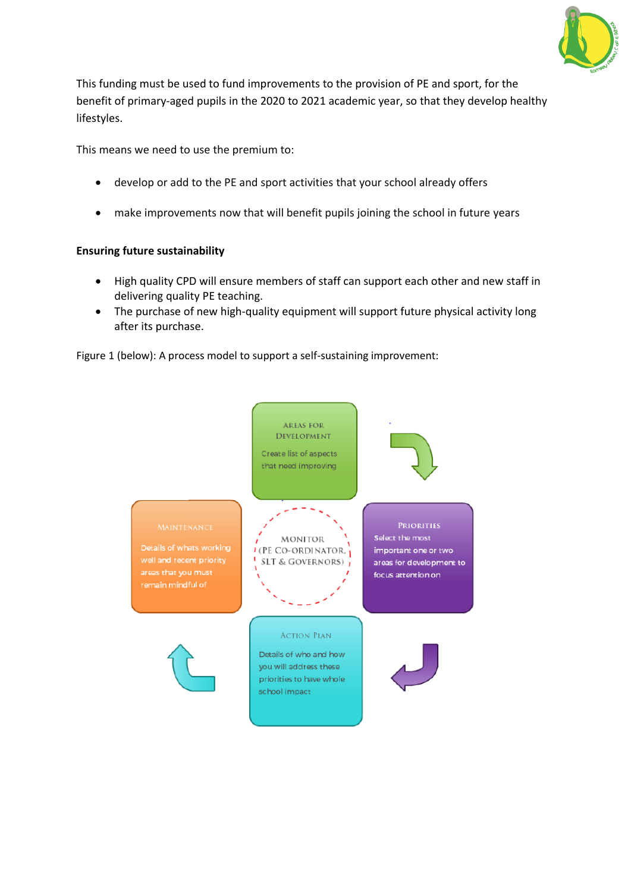

This funding must be used to fund improvements to the provision of PE and sport, for the benefit of primary-aged pupils in the 2020 to 2021 academic year, so that they develop healthy lifestyles.

This means we need to use the premium to:

- develop or add to the PE and sport activities that your school already offers
- make improvements now that will benefit pupils joining the school in future years

#### **Ensuring future sustainability**

- High quality CPD will ensure members of staff can support each other and new staff in delivering quality PE teaching.
- The purchase of new high-quality equipment will support future physical activity long after its purchase.

Figure 1 (below): A process model to support a self-sustaining improvement:

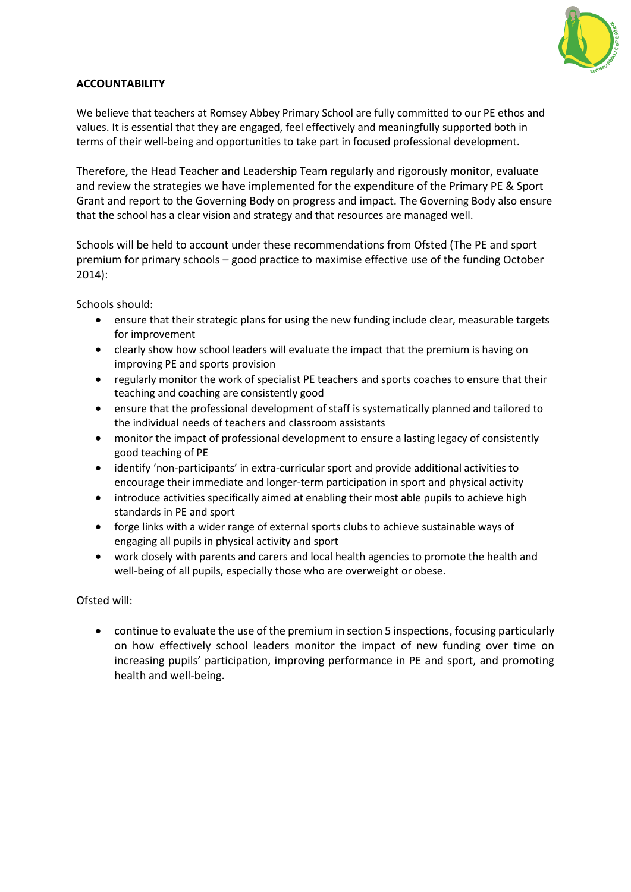

#### **ACCOUNTABILITY**

We believe that teachers at Romsey Abbey Primary School are fully committed to our PE ethos and values. It is essential that they are engaged, feel effectively and meaningfully supported both in terms of their well-being and opportunities to take part in focused professional development.

Therefore, the Head Teacher and Leadership Team regularly and rigorously monitor, evaluate and review the strategies we have implemented for the expenditure of the Primary PE & Sport Grant and report to the Governing Body on progress and impact. The Governing Body also ensure that the school has a clear vision and strategy and that resources are managed well.

Schools will be held to account under these recommendations from Ofsted (The PE and sport premium for primary schools – good practice to maximise effective use of the funding October 2014):

Schools should:

- ensure that their strategic plans for using the new funding include clear, measurable targets for improvement
- clearly show how school leaders will evaluate the impact that the premium is having on improving PE and sports provision
- regularly monitor the work of specialist PE teachers and sports coaches to ensure that their teaching and coaching are consistently good
- ensure that the professional development of staff is systematically planned and tailored to the individual needs of teachers and classroom assistants
- monitor the impact of professional development to ensure a lasting legacy of consistently good teaching of PE
- identify 'non-participants' in extra-curricular sport and provide additional activities to encourage their immediate and longer-term participation in sport and physical activity
- introduce activities specifically aimed at enabling their most able pupils to achieve high standards in PE and sport
- forge links with a wider range of external sports clubs to achieve sustainable ways of engaging all pupils in physical activity and sport
- work closely with parents and carers and local health agencies to promote the health and well-being of all pupils, especially those who are overweight or obese.

Ofsted will:

 continue to evaluate the use of the premium in section 5 inspections, focusing particularly on how effectively school leaders monitor the impact of new funding over time on increasing pupils' participation, improving performance in PE and sport, and promoting health and well-being.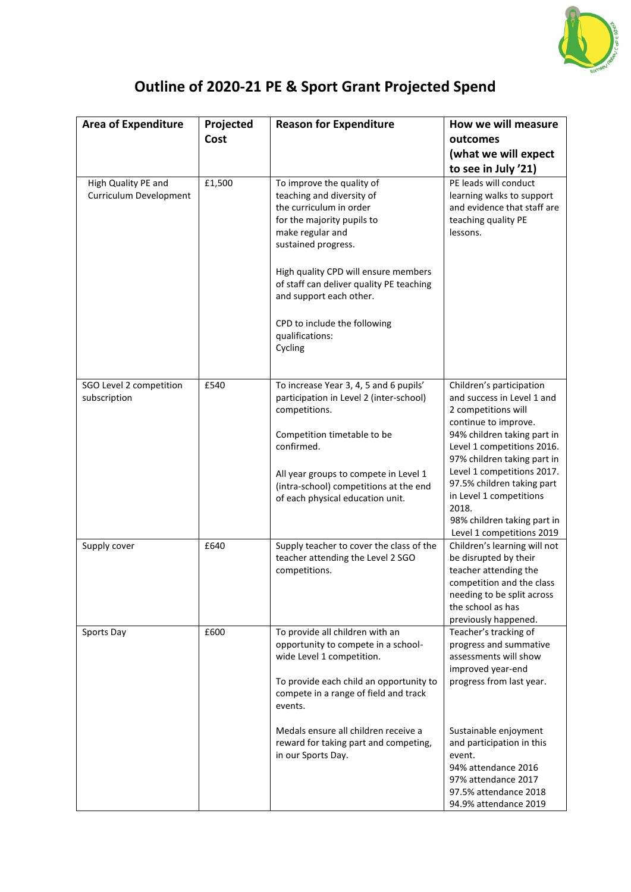

# **Outline of 2020-21 PE & Sport Grant Projected Spend**

| <b>Area of Expenditure</b>                    | Projected | <b>Reason for Expenditure</b>                                                                                                                                                                                                                                                                                                           | How we will measure                                                                                                                                          |
|-----------------------------------------------|-----------|-----------------------------------------------------------------------------------------------------------------------------------------------------------------------------------------------------------------------------------------------------------------------------------------------------------------------------------------|--------------------------------------------------------------------------------------------------------------------------------------------------------------|
|                                               | Cost      |                                                                                                                                                                                                                                                                                                                                         | outcomes                                                                                                                                                     |
|                                               |           |                                                                                                                                                                                                                                                                                                                                         | (what we will expect                                                                                                                                         |
|                                               |           |                                                                                                                                                                                                                                                                                                                                         | to see in July '21)                                                                                                                                          |
| High Quality PE and<br>Curriculum Development | £1,500    | To improve the quality of<br>teaching and diversity of<br>the curriculum in order<br>for the majority pupils to<br>make regular and<br>sustained progress.<br>High quality CPD will ensure members<br>of staff can deliver quality PE teaching<br>and support each other.<br>CPD to include the following<br>qualifications:<br>Cycling | PE leads will conduct<br>learning walks to support<br>and evidence that staff are<br>teaching quality PE<br>lessons.                                         |
| SGO Level 2 competition                       | £540      | To increase Year 3, 4, 5 and 6 pupils'                                                                                                                                                                                                                                                                                                  | Children's participation                                                                                                                                     |
| subscription                                  |           | participation in Level 2 (inter-school)<br>competitions.                                                                                                                                                                                                                                                                                | and success in Level 1 and<br>2 competitions will<br>continue to improve.                                                                                    |
|                                               |           | Competition timetable to be<br>confirmed.                                                                                                                                                                                                                                                                                               | 94% children taking part in<br>Level 1 competitions 2016.<br>97% children taking part in                                                                     |
|                                               |           | All year groups to compete in Level 1<br>(intra-school) competitions at the end<br>of each physical education unit.                                                                                                                                                                                                                     | Level 1 competitions 2017.<br>97.5% children taking part<br>in Level 1 competitions<br>2018.<br>98% children taking part in                                  |
| Supply cover                                  | £640      | Supply teacher to cover the class of the                                                                                                                                                                                                                                                                                                | Level 1 competitions 2019<br>Children's learning will not                                                                                                    |
|                                               |           | teacher attending the Level 2 SGO<br>competitions.                                                                                                                                                                                                                                                                                      | be disrupted by their<br>teacher attending the<br>competition and the class<br>needing to be split across<br>the school as has<br>previously happened.       |
| Sports Day                                    | £600      | To provide all children with an<br>opportunity to compete in a school-<br>wide Level 1 competition.                                                                                                                                                                                                                                     | Teacher's tracking of<br>progress and summative<br>assessments will show                                                                                     |
|                                               |           | To provide each child an opportunity to<br>compete in a range of field and track<br>events.                                                                                                                                                                                                                                             | improved year-end<br>progress from last year.                                                                                                                |
|                                               |           | Medals ensure all children receive a<br>reward for taking part and competing,<br>in our Sports Day.                                                                                                                                                                                                                                     | Sustainable enjoyment<br>and participation in this<br>event.<br>94% attendance 2016<br>97% attendance 2017<br>97.5% attendance 2018<br>94.9% attendance 2019 |